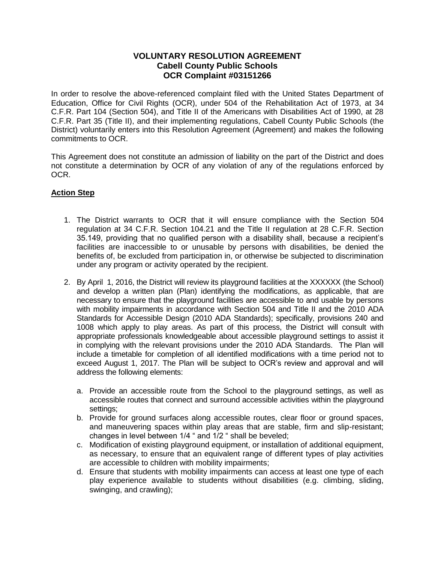## **VOLUNTARY RESOLUTION AGREEMENT Cabell County Public Schools OCR Complaint #03151266**

In order to resolve the above-referenced complaint filed with the United States Department of Education, Office for Civil Rights (OCR), under 504 of the Rehabilitation Act of 1973, at 34 C.F.R. Part 104 (Section 504), and Title II of the Americans with Disabilities Act of 1990, at 28 C.F.R. Part 35 (Title II), and their implementing regulations, Cabell County Public Schools (the District) voluntarily enters into this Resolution Agreement (Agreement) and makes the following commitments to OCR.

This Agreement does not constitute an admission of liability on the part of the District and does not constitute a determination by OCR of any violation of any of the regulations enforced by OCR.

## **Action Step**

- 1. The District warrants to OCR that it will ensure compliance with the Section 504 regulation at 34 C.F.R. Section 104.21 and the Title II regulation at 28 C.F.R. Section 35.149, providing that no qualified person with a disability shall, because a recipient's facilities are inaccessible to or unusable by persons with disabilities, be denied the benefits of, be excluded from participation in, or otherwise be subjected to discrimination under any program or activity operated by the recipient.
- 2. By April 1, 2016, the District will review its playground facilities at the XXXXXX (the School) and develop a written plan (Plan) identifying the modifications, as applicable, that are necessary to ensure that the playground facilities are accessible to and usable by persons with mobility impairments in accordance with Section 504 and Title II and the 2010 ADA Standards for Accessible Design (2010 ADA Standards); specifically, provisions 240 and 1008 which apply to play areas. As part of this process, the District will consult with appropriate professionals knowledgeable about accessible playground settings to assist it in complying with the relevant provisions under the 2010 ADA Standards. The Plan will include a timetable for completion of all identified modifications with a time period not to exceed August 1, 2017. The Plan will be subject to OCR's review and approval and will address the following elements:
	- a. Provide an accessible route from the School to the playground settings, as well as accessible routes that connect and surround accessible activities within the playground settings;
	- b. Provide for ground surfaces along accessible routes, clear floor or ground spaces, and maneuvering spaces within play areas that are stable, firm and slip-resistant; changes in level between 1/4 " and 1/2 " shall be beveled;
	- c. Modification of existing playground equipment, or installation of additional equipment, as necessary, to ensure that an equivalent range of different types of play activities are accessible to children with mobility impairments;
	- d. Ensure that students with mobility impairments can access at least one type of each play experience available to students without disabilities (e.g. climbing, sliding, swinging, and crawling);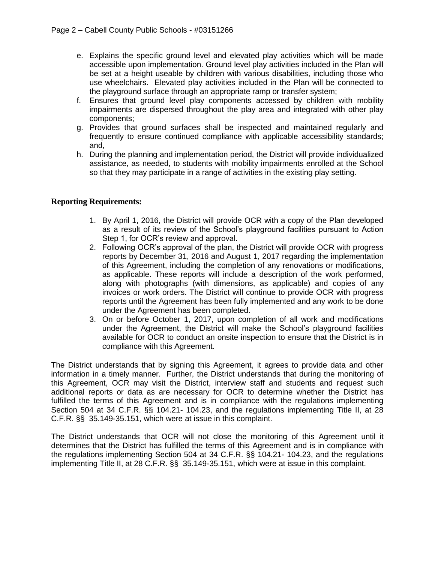- e. Explains the specific ground level and elevated play activities which will be made accessible upon implementation. Ground level play activities included in the Plan will be set at a height useable by children with various disabilities, including those who use wheelchairs. Elevated play activities included in the Plan will be connected to the playground surface through an appropriate ramp or transfer system;
- f. Ensures that ground level play components accessed by children with mobility impairments are dispersed throughout the play area and integrated with other play components;
- g. Provides that ground surfaces shall be inspected and maintained regularly and frequently to ensure continued compliance with applicable accessibility standards; and,
- h. During the planning and implementation period, the District will provide individualized assistance, as needed, to students with mobility impairments enrolled at the School so that they may participate in a range of activities in the existing play setting.

## **Reporting Requirements:**

- 1. By April 1, 2016, the District will provide OCR with a copy of the Plan developed as a result of its review of the School's playground facilities pursuant to Action Step 1, for OCR's review and approval.
- 2. Following OCR's approval of the plan, the District will provide OCR with progress reports by December 31, 2016 and August 1, 2017 regarding the implementation of this Agreement, including the completion of any renovations or modifications, as applicable. These reports will include a description of the work performed, along with photographs (with dimensions, as applicable) and copies of any invoices or work orders. The District will continue to provide OCR with progress reports until the Agreement has been fully implemented and any work to be done under the Agreement has been completed.
- 3. On or before October 1, 2017, upon completion of all work and modifications under the Agreement, the District will make the School's playground facilities available for OCR to conduct an onsite inspection to ensure that the District is in compliance with this Agreement.

The District understands that by signing this Agreement, it agrees to provide data and other information in a timely manner. Further, the District understands that during the monitoring of this Agreement, OCR may visit the District, interview staff and students and request such additional reports or data as are necessary for OCR to determine whether the District has fulfilled the terms of this Agreement and is in compliance with the regulations implementing Section 504 at 34 C.F.R. §§ 104.21- 104.23, and the regulations implementing Title II, at 28 C.F.R. §§ 35.149-35.151, which were at issue in this complaint.

The District understands that OCR will not close the monitoring of this Agreement until it determines that the District has fulfilled the terms of this Agreement and is in compliance with the regulations implementing Section 504 at 34 C.F.R. §§ 104.21- 104.23, and the regulations implementing Title II, at 28 C.F.R. §§ 35.149-35.151, which were at issue in this complaint.